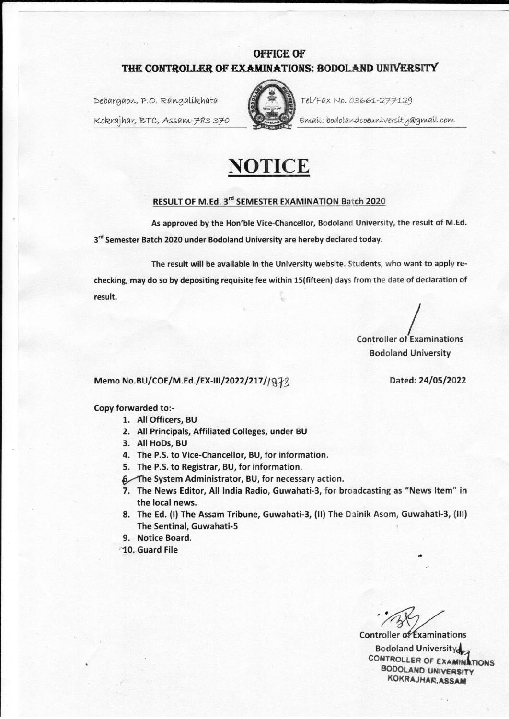# **OFFICE OF** THE CONTROLLER OF EXAMINATIONS: BODOLAND UNIVERSITY

Debargaon, P.O. Rangalikhata

Kokrajhar, BTC, Assam-783370



Tel/Fax No. 03661-277129

Email: bodolandcoeuniversity@gmail.com



## RESULT OF M.Ed. 3rd SEMESTER EXAMINATION Batch 2020

As approved by the Hon'ble Vice-Chancellor, Bodoland University, the result of M.Ed. 3rd Semester Batch 2020 under Bodoland University are hereby declared today.

The result will be available in the University website. Students, who want to apply rechecking, may do so by depositing requisite fee within 15(fifteen) days from the date of declaration of result.

**Controller of Examinations Bodoland University** 

### Memo No.BU/COE/M.Ed./EX-III/2022/217//872

Copy forwarded to:-

- 1. All Officers. BU
- 2. All Principals, Affiliated Colleges, under BU
- 3. All HoDs, BU
- 4. The P.S. to Vice-Chancellor, BU, for information.
- 5. The P.S. to Registrar, BU, for information.
- 6 The System Administrator, BU, for necessary action.
- 7. The News Editor, All India Radio, Guwahati-3, for broadcasting as "News Item" in the local news.
- 8. The Ed. (I) The Assam Tribune, Guwahati-3, (II) The Dainik Asom, Guwahati-3, (III) The Sentinal, Guwahati-5
- 9. Notice Board.
- <sup>1</sup>10. Guard File

Controller of Examinations **Bodoland University** CONTROLLER OF EXAMIN **TIONS BODOLAND UNIVERSITY** KOKRAJHAR, ASSAM

Dated: 24/05/2022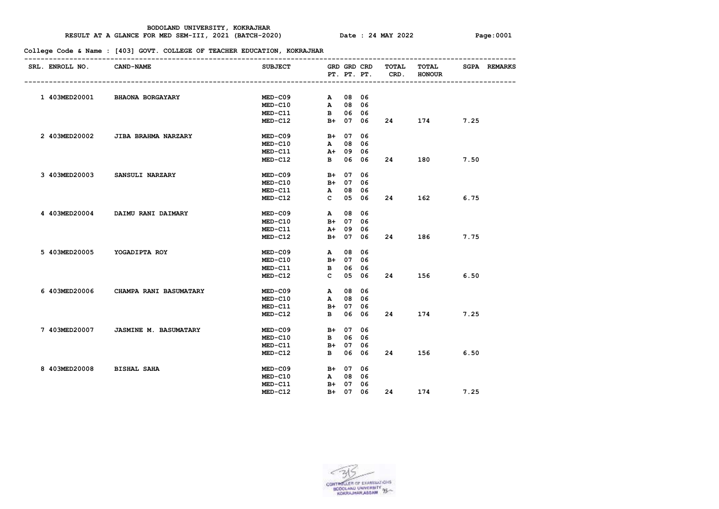#### **RESULT AT A GLANCE FOR MED SEM-III, 2021 (BATCH-2020) Date : 24 MAY 2022 Page:0001**

| SRL. ENROLL NO. CAND-NAME   |                                      | SUBJECT GRD GRD CRD TOTAL |          |          |          | PT. PT. PT. CRD. | TOTAL<br><b>HONOUR</b>                                                                                                                                                                                                          |      | <b>SGPA REMARKS</b> |
|-----------------------------|--------------------------------------|---------------------------|----------|----------|----------|------------------|---------------------------------------------------------------------------------------------------------------------------------------------------------------------------------------------------------------------------------|------|---------------------|
|                             |                                      |                           |          |          |          |                  |                                                                                                                                                                                                                                 |      |                     |
|                             | 1 403MED20001 BHAONA BORGAYARY       | MED-C09 A 08 06           |          |          |          |                  |                                                                                                                                                                                                                                 |      |                     |
|                             |                                      | $MED-C10$                 | A 08 06  |          |          |                  |                                                                                                                                                                                                                                 |      |                     |
|                             |                                      | MED-C11                   | B 06 06  |          |          |                  |                                                                                                                                                                                                                                 |      |                     |
|                             |                                      | $MED-C12$                 |          |          | B+ 07 06 |                  | 174                                                                                                                                                                                                                             | 7.25 |                     |
|                             | 2 403MED20002 JIBA BRAHMA NARZARY    | MED-C09 B+ 07 06          |          |          |          |                  |                                                                                                                                                                                                                                 |      |                     |
|                             |                                      | <b>MED-C10</b>            | A 08 06  |          |          |                  |                                                                                                                                                                                                                                 |      |                     |
|                             |                                      | MED-C11 A+ 09 06          |          |          |          |                  |                                                                                                                                                                                                                                 |      |                     |
|                             |                                      | $MED-C12$                 |          |          | B 06 06  |                  | 180 — 180 — 180 — 180 — 180 — 180 — 180 — 180 — 180 — 180 — 180 — 180 — 180 — 180 — 180 — 180 — 180 — 180 — 180 — 180 — 180 — 180 — 180 — 180 — 180 — 180 — 180 — 180 — 180 — 180 — 180 — 180 — 180 — 180 — 180 — 180 — 180 — 1 | 7.50 |                     |
|                             | 3 403MED20003 SANSULI NARZARY        | $MED-C09$                 | B+ 07 06 |          |          |                  |                                                                                                                                                                                                                                 |      |                     |
|                             |                                      | $MED- C10$                | B+ 07 06 |          |          |                  |                                                                                                                                                                                                                                 |      |                     |
|                             |                                      | $MED-C11$                 | A 08 06  |          |          |                  |                                                                                                                                                                                                                                 |      |                     |
|                             |                                      | $MED-C12$                 |          |          | C 05 06  |                  | 24 162 6.75                                                                                                                                                                                                                     |      |                     |
|                             | 4 403MED20004 DAIMU RANI DAIMARY     | $MED-C09$                 |          | A 08 06  |          |                  |                                                                                                                                                                                                                                 |      |                     |
|                             |                                      | $MED-C10$                 |          | B+ 07 06 |          |                  |                                                                                                                                                                                                                                 |      |                     |
|                             |                                      | MED-C11                   |          | A+ 09 06 |          |                  |                                                                                                                                                                                                                                 |      |                     |
|                             |                                      | $MED-C12$                 |          |          | B+ 07 06 |                  | 186                                                                                                                                                                                                                             | 7.75 |                     |
| 5 403MED20005 YOGADIPTA ROY |                                      | $MED-C09$                 |          | A 08 06  |          |                  |                                                                                                                                                                                                                                 |      |                     |
|                             |                                      | $MED-C10$                 | B+ 07 06 |          |          |                  |                                                                                                                                                                                                                                 |      |                     |
|                             |                                      | $MED-C11$                 | B 06 06  |          |          |                  |                                                                                                                                                                                                                                 |      |                     |
|                             |                                      | $MED-C12$                 |          |          | C 05 06  |                  | 156 — 156                                                                                                                                                                                                                       | 6.50 |                     |
|                             | 6 403MED20006 CHAMPA RANI BASUMATARY | $MED-C09$                 | A 08 06  |          |          |                  |                                                                                                                                                                                                                                 |      |                     |
|                             |                                      | $MED-C10$                 | A 08 06  |          |          |                  |                                                                                                                                                                                                                                 |      |                     |
|                             |                                      | $MED- C11$                | B+ 07 06 |          |          |                  |                                                                                                                                                                                                                                 |      |                     |
|                             |                                      | $MED-C12$                 | B 06 06  |          |          |                  | 174 7.25                                                                                                                                                                                                                        |      |                     |
|                             | 7 403MED20007 JASMINE M. BASUMATARY  | $MED-C09$                 | B+ 07 06 |          |          |                  |                                                                                                                                                                                                                                 |      |                     |
|                             |                                      | $MED - C10$               | B 06 06  |          |          |                  |                                                                                                                                                                                                                                 |      |                     |
|                             |                                      | $MED-C11$                 | B+ 07 06 |          |          |                  |                                                                                                                                                                                                                                 |      |                     |
|                             |                                      | $MED-C12$                 |          |          | B 06 06  |                  | 24 156                                                                                                                                                                                                                          | 6.50 |                     |
| 8 403MED20008 BISHAL SAHA   |                                      | $MED-CO9$                 | B+ 07 06 |          |          |                  |                                                                                                                                                                                                                                 |      |                     |
|                             |                                      | $MED-C10$                 |          | A 08 06  |          |                  |                                                                                                                                                                                                                                 |      |                     |
|                             |                                      | MED-C11                   | B+ 07 06 |          |          |                  |                                                                                                                                                                                                                                 |      |                     |
|                             |                                      | $MED - C12$               |          |          |          | B+ 07 06 24      | 174                                                                                                                                                                                                                             | 7.25 |                     |

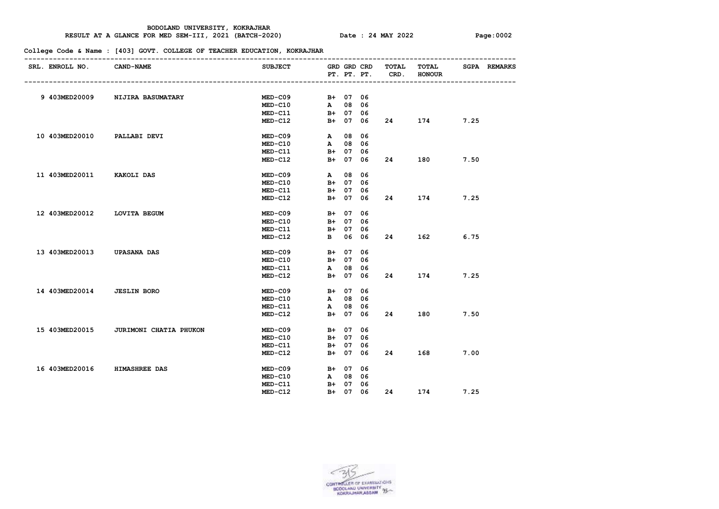#### **RESULT AT A GLANCE FOR MED SEM-III, 2021 (BATCH-2020) Date : 24 MAY 2022 Page:0002**

| SRL. ENROLL NO. CAND-NAME    |                                       | SUBJECT GRD GRD CRD TOTAL |          | PT. PT. PT. | CRD. | <b>TOTAL</b><br><b>HONOUR</b> |      | <b>SGPA REMARKS</b> |
|------------------------------|---------------------------------------|---------------------------|----------|-------------|------|-------------------------------|------|---------------------|
|                              |                                       |                           |          |             |      |                               |      |                     |
|                              | 9 403MED20009 NIJIRA BASUMATARY       | $MED-C09$                 | B+ 07 06 |             |      |                               |      |                     |
|                              |                                       | $MED-C10$                 | A 08 06  |             |      |                               |      |                     |
|                              |                                       | $MED-C11$                 | B+ 07 06 |             |      |                               |      |                     |
|                              |                                       | $MED-C12$                 |          | B+ 07 06    |      | 174 — 174                     | 7.25 |                     |
| 10 403MED20010 PALLABI DEVI  |                                       | MED-C09 A 08 06           |          |             |      |                               |      |                     |
|                              |                                       | $MED- C10$                | A 08 06  |             |      |                               |      |                     |
|                              |                                       | $MED- C11$                | B+ 07 06 |             |      |                               |      |                     |
|                              |                                       | $MED-C12$                 | B+ 07 06 |             |      | 180 7.50                      |      |                     |
| 11 403MED20011 KAKOLI DAS    |                                       | MED-C09                   | A 08 06  |             |      |                               |      |                     |
|                              |                                       | $MED- C10$                | B+ 07 06 |             |      |                               |      |                     |
|                              |                                       | $MED-C11$                 | B+ 07 06 |             |      |                               |      |                     |
|                              |                                       | $MED-C12$                 | B+ 07 06 |             |      | 24 174 7.25                   |      |                     |
| 12 403MED20012 LOVITA BEGUM  |                                       | $MED-C09$                 | B+ 07 06 |             |      |                               |      |                     |
|                              |                                       | <b>MED-C10</b>            | B+ 07 06 |             |      |                               |      |                     |
|                              |                                       | $MED-C11$                 | B+ 07 06 |             |      |                               |      |                     |
|                              |                                       | $MED-C12$                 | B 06 06  |             |      | 162 200                       | 6.75 |                     |
| 13 403MED20013 UPASANA DAS   |                                       | $MED-C09$                 | B+ 07 06 |             |      |                               |      |                     |
|                              |                                       | $MED- C10$                | B+ 07 06 |             |      |                               |      |                     |
|                              |                                       | <b>MED-C11</b>            | A 08 06  |             |      |                               |      |                     |
|                              |                                       | $MED-C12$                 |          | B+ 07 06    |      | 174                           | 7.25 |                     |
| 14 403MED20014 JESLIN BORO   |                                       | MED-C09 B+ 07 06          |          |             |      |                               |      |                     |
|                              |                                       | $MED- C10$                | A 08 06  |             |      |                               |      |                     |
|                              |                                       | MED-C11                   | A 08 06  |             |      |                               |      |                     |
|                              |                                       | $MED-C12$                 | B+ 07 06 |             |      | 180 7.50                      |      |                     |
|                              | 15 403MED20015 JURIMONI CHATIA PHUKON | $MED-C09$                 | B+ 07 06 |             |      |                               |      |                     |
|                              |                                       | $MED - C10$               | B+ 07 06 |             |      |                               |      |                     |
|                              |                                       | $MED-C11$                 | B+ 07 06 |             |      |                               |      |                     |
|                              |                                       | $MED-C12$                 |          | B+ 07 06    |      | 24 168 7.00                   |      |                     |
| 16 403MED20016 HIMASHREE DAS |                                       | MED-C09                   | B+ 07 06 |             |      |                               |      |                     |
|                              |                                       | $MED-C10$                 | A 08 06  |             |      |                               |      |                     |
|                              |                                       | $MED- C11$                | B+ 07 06 |             |      |                               |      |                     |
|                              |                                       | $MED - C12$               | B+ 07 06 |             | 24   | 174                           | 7.25 |                     |
|                              |                                       |                           |          |             |      |                               |      |                     |

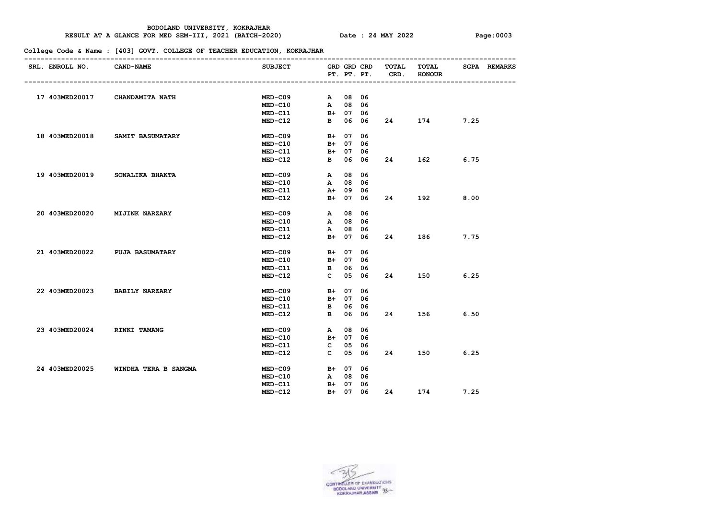#### **RESULT AT A GLANCE FOR MED SEM-III, 2021 (BATCH-2020) Date : 24 MAY 2022 Page:0003**

| SRL. ENROLL NO. CAND-NAME | SUBJECT GRD GRD CRD TOTAL                                                                                                                                                                                                                                                     |                                                                                                                   |                                                                                                                                                                                                                                                                                                                                                                      |                             |                          |                                                                               |
|---------------------------|-------------------------------------------------------------------------------------------------------------------------------------------------------------------------------------------------------------------------------------------------------------------------------|-------------------------------------------------------------------------------------------------------------------|----------------------------------------------------------------------------------------------------------------------------------------------------------------------------------------------------------------------------------------------------------------------------------------------------------------------------------------------------------------------|-----------------------------|--------------------------|-------------------------------------------------------------------------------|
|                           |                                                                                                                                                                                                                                                                               |                                                                                                                   |                                                                                                                                                                                                                                                                                                                                                                      | TOTAL<br><b>HONOUR</b>      |                          | <b>SGPA REMARKS</b>                                                           |
|                           |                                                                                                                                                                                                                                                                               |                                                                                                                   |                                                                                                                                                                                                                                                                                                                                                                      |                             |                          |                                                                               |
|                           |                                                                                                                                                                                                                                                                               |                                                                                                                   |                                                                                                                                                                                                                                                                                                                                                                      |                             |                          |                                                                               |
|                           | $MED - C10$                                                                                                                                                                                                                                                                   |                                                                                                                   |                                                                                                                                                                                                                                                                                                                                                                      |                             |                          |                                                                               |
|                           |                                                                                                                                                                                                                                                                               |                                                                                                                   |                                                                                                                                                                                                                                                                                                                                                                      |                             |                          |                                                                               |
|                           |                                                                                                                                                                                                                                                                               |                                                                                                                   |                                                                                                                                                                                                                                                                                                                                                                      | 174                         | 7.25                     |                                                                               |
|                           |                                                                                                                                                                                                                                                                               |                                                                                                                   |                                                                                                                                                                                                                                                                                                                                                                      |                             |                          |                                                                               |
|                           | $MED-C10$                                                                                                                                                                                                                                                                     |                                                                                                                   |                                                                                                                                                                                                                                                                                                                                                                      |                             |                          |                                                                               |
|                           | MED-C11                                                                                                                                                                                                                                                                       |                                                                                                                   |                                                                                                                                                                                                                                                                                                                                                                      |                             |                          |                                                                               |
|                           | $MED-C12$                                                                                                                                                                                                                                                                     |                                                                                                                   |                                                                                                                                                                                                                                                                                                                                                                      |                             | 6.75                     |                                                                               |
|                           |                                                                                                                                                                                                                                                                               |                                                                                                                   |                                                                                                                                                                                                                                                                                                                                                                      |                             |                          |                                                                               |
|                           | $MED - C10$                                                                                                                                                                                                                                                                   |                                                                                                                   |                                                                                                                                                                                                                                                                                                                                                                      |                             |                          |                                                                               |
|                           | $MED-C11$                                                                                                                                                                                                                                                                     |                                                                                                                   |                                                                                                                                                                                                                                                                                                                                                                      |                             |                          |                                                                               |
|                           |                                                                                                                                                                                                                                                                               |                                                                                                                   |                                                                                                                                                                                                                                                                                                                                                                      |                             |                          |                                                                               |
|                           |                                                                                                                                                                                                                                                                               |                                                                                                                   |                                                                                                                                                                                                                                                                                                                                                                      |                             |                          |                                                                               |
|                           | $MED- C10$                                                                                                                                                                                                                                                                    |                                                                                                                   |                                                                                                                                                                                                                                                                                                                                                                      |                             |                          |                                                                               |
|                           | MED-C11                                                                                                                                                                                                                                                                       |                                                                                                                   |                                                                                                                                                                                                                                                                                                                                                                      |                             |                          |                                                                               |
|                           | $MED-C12$                                                                                                                                                                                                                                                                     |                                                                                                                   |                                                                                                                                                                                                                                                                                                                                                                      | 186                         | 7.75                     |                                                                               |
|                           |                                                                                                                                                                                                                                                                               |                                                                                                                   |                                                                                                                                                                                                                                                                                                                                                                      |                             |                          |                                                                               |
|                           | $MED- C10$                                                                                                                                                                                                                                                                    |                                                                                                                   |                                                                                                                                                                                                                                                                                                                                                                      |                             |                          |                                                                               |
|                           | $MED-C11$                                                                                                                                                                                                                                                                     |                                                                                                                   |                                                                                                                                                                                                                                                                                                                                                                      |                             |                          |                                                                               |
|                           |                                                                                                                                                                                                                                                                               |                                                                                                                   |                                                                                                                                                                                                                                                                                                                                                                      |                             | 6.25                     |                                                                               |
|                           |                                                                                                                                                                                                                                                                               |                                                                                                                   |                                                                                                                                                                                                                                                                                                                                                                      |                             |                          |                                                                               |
|                           |                                                                                                                                                                                                                                                                               |                                                                                                                   |                                                                                                                                                                                                                                                                                                                                                                      |                             |                          |                                                                               |
|                           | $MED- C11$                                                                                                                                                                                                                                                                    |                                                                                                                   |                                                                                                                                                                                                                                                                                                                                                                      |                             |                          |                                                                               |
|                           | $MED-C12$                                                                                                                                                                                                                                                                     |                                                                                                                   |                                                                                                                                                                                                                                                                                                                                                                      |                             |                          |                                                                               |
|                           |                                                                                                                                                                                                                                                                               |                                                                                                                   |                                                                                                                                                                                                                                                                                                                                                                      |                             |                          |                                                                               |
|                           | $MED-C10$                                                                                                                                                                                                                                                                     |                                                                                                                   |                                                                                                                                                                                                                                                                                                                                                                      |                             |                          |                                                                               |
|                           | $MED-C11$                                                                                                                                                                                                                                                                     |                                                                                                                   |                                                                                                                                                                                                                                                                                                                                                                      |                             |                          |                                                                               |
|                           | MED-C12                                                                                                                                                                                                                                                                       |                                                                                                                   |                                                                                                                                                                                                                                                                                                                                                                      |                             |                          |                                                                               |
|                           |                                                                                                                                                                                                                                                                               |                                                                                                                   |                                                                                                                                                                                                                                                                                                                                                                      |                             |                          |                                                                               |
|                           | $MED-C10$                                                                                                                                                                                                                                                                     |                                                                                                                   |                                                                                                                                                                                                                                                                                                                                                                      |                             |                          |                                                                               |
|                           | MED-C11                                                                                                                                                                                                                                                                       |                                                                                                                   |                                                                                                                                                                                                                                                                                                                                                                      |                             |                          |                                                                               |
|                           | $MED-C12$                                                                                                                                                                                                                                                                     |                                                                                                                   |                                                                                                                                                                                                                                                                                                                                                                      |                             | 7.25                     |                                                                               |
|                           | 17 403MED20017 CHANDAMITA NATH<br>18 403MED20018 SAMIT BASUMATARY<br>19 403MED20019 SONALIKA BHAKTA<br>20 403MED20020 MIJINK NARZARY<br>21 403MED20022 PUJA BASUMATARY<br>22 403MED20023 BABILY NARZARY<br>23 403MED20024 RINKI TAMANG<br>24 403MED20025 WINDHA TERA B SANGMA | $MED-C09$<br>$MED-C09$<br>$MED-C12$<br>$MED-C09$<br>$MED-C09$<br>$MED-C12$<br>$MED-C09$<br>$MED-C09$<br>$MED-C09$ | A 08 06<br>A 08 06<br>MED-C11 B+ 07 06<br>B+ 07 06<br>B+ 07 06<br>B+ 07 06<br>B 06 06<br>MED-C09 A 08 06<br>A 08 06<br>A+ 09 06<br>B+ 07 06<br>A 08 06<br>A 08 06<br>A 08 06<br>B+ 07 06<br>B+ 07 06<br>B 06 06<br>C 05 06<br>B+ 07 06<br>MED-C10 B+ 07 06<br>B 06 06<br>B 06 06<br>A 08 06<br>B+ 07 06<br>$C$ 05 06<br>$C$ 05 06<br>B+ 07 06<br>A 08 06<br>B+ 07 06 | MED-C12 B 06 06<br>B+ 07 06 | PT. PT. PT. CRD.<br>24 7 | 162 200<br>24 192 8.00<br>150 7<br>156 6.50<br>24 150 6.25<br>B+ 07 06 24 174 |

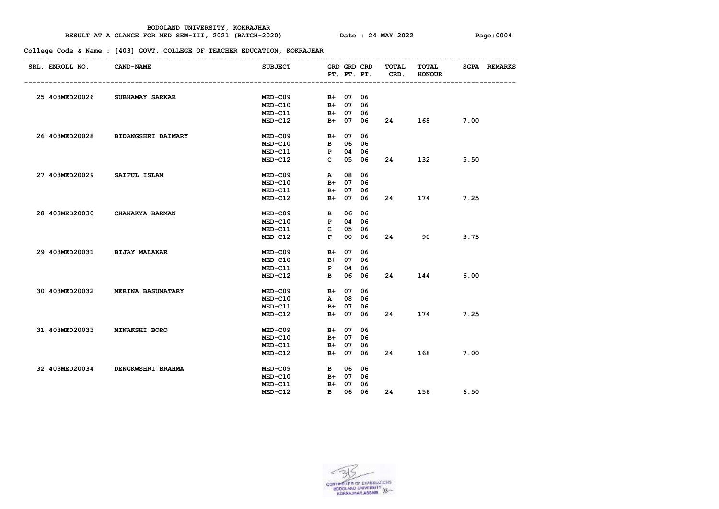#### **RESULT AT A GLANCE FOR MED SEM-III, 2021 (BATCH-2020) Date : 24 MAY 2022 Page:0004**

| SRL. ENROLL NO. CAND-NAME   |                                   | SUBJECT GRD GRD CRD TOTAL |          |          | PT. PT. PT. CRD. | TOTAL<br><b>HONOUR</b> |      | <b>SGPA REMARKS</b> |
|-----------------------------|-----------------------------------|---------------------------|----------|----------|------------------|------------------------|------|---------------------|
|                             |                                   |                           |          |          |                  |                        |      |                     |
|                             | 25 403MED20026 SUBHAMAY SARKAR    | $MED-C09$                 | B+ 07 06 |          |                  |                        |      |                     |
|                             |                                   | $MED - C10$               | B+ 07 06 |          |                  |                        |      |                     |
|                             |                                   | $MED-C11$                 | B+ 07 06 |          |                  |                        |      |                     |
|                             |                                   | $MED-C12$                 |          |          | B+ 07 06 24      | 168 — 168              | 7.00 |                     |
|                             | 26 403MED20028 BIDANGSHRI DAIMARY | MED-C09 B+ 07 06          |          |          |                  |                        |      |                     |
|                             |                                   | $MED-C10$                 | В 06 06  |          |                  |                        |      |                     |
|                             |                                   | MED-C11                   | P 04 06  |          |                  |                        |      |                     |
|                             |                                   | $MED-C12$                 | C 05 06  |          |                  | 132 and 132            | 5.50 |                     |
| 27 403MED20029 SAIFUL ISLAM |                                   | MED-C09 A 08 06           |          |          |                  |                        |      |                     |
|                             |                                   | $MED-C10$                 | B+ 07 06 |          |                  |                        |      |                     |
|                             |                                   | MED-C11                   | B+ 07 06 |          |                  |                        |      |                     |
|                             |                                   | MED-C12                   |          | B+ 07 06 |                  | 174 7.25               |      |                     |
|                             | 28 403MED20030 CHANAKYA BARMAN    | MED-C09 B 06 06           |          |          |                  |                        |      |                     |
|                             |                                   | MED-C10 P 04 06           |          |          |                  |                        |      |                     |
|                             |                                   | MED-C11                   | C 05 06  |          |                  |                        |      |                     |
|                             |                                   | $MED-C12$                 | F 00 06  |          | 24 7             | 90                     | 3.75 |                     |
|                             | 29 403MED20031 BIJAY MALAKAR      | MED-C09 B+ 07 06          |          |          |                  |                        |      |                     |
|                             |                                   | $MED - C10$               | B+ 07 06 |          |                  |                        |      |                     |
|                             |                                   | $MED-C11$                 | P 04 06  |          |                  |                        |      |                     |
|                             |                                   | MED-C12 B 06 06           |          |          |                  | 144                    | 6.00 |                     |
|                             | 30 403MED20032 MERINA BASUMATARY  | MED-C09 B+ 07 06          |          |          |                  |                        |      |                     |
|                             |                                   | $MED - C10$               | A 08 06  |          |                  |                        |      |                     |
|                             |                                   | MED-C11                   | B+ 07 06 |          |                  |                        |      |                     |
|                             |                                   | $MED-C12$                 | B+ 07 06 |          |                  | 174 7.25               |      |                     |
|                             | 31 403MED20033 MINAKSHI BORO      | $MED-C09$                 | B+ 07 06 |          |                  |                        |      |                     |
|                             |                                   | $MED-C10$                 | B+ 07 06 |          |                  |                        |      |                     |
|                             |                                   | MED-C11                   | B+ 07 06 |          |                  |                        |      |                     |
|                             |                                   | $MED-C12$                 |          |          |                  | B+ 07 06 24 168 7.00   |      |                     |
|                             | 32 403MED20034 DENGKWSHRI BRAHMA  | <b>MED-C09</b>            | B 06 06  |          |                  |                        |      |                     |
|                             |                                   | $MED - C10$               | B+ 07 06 |          |                  |                        |      |                     |
|                             |                                   | $MED- C11$                | B+ 07 06 |          |                  |                        |      |                     |
|                             |                                   | $MED-C12$                 |          |          |                  | B 06 06 24 156         | 6.50 |                     |

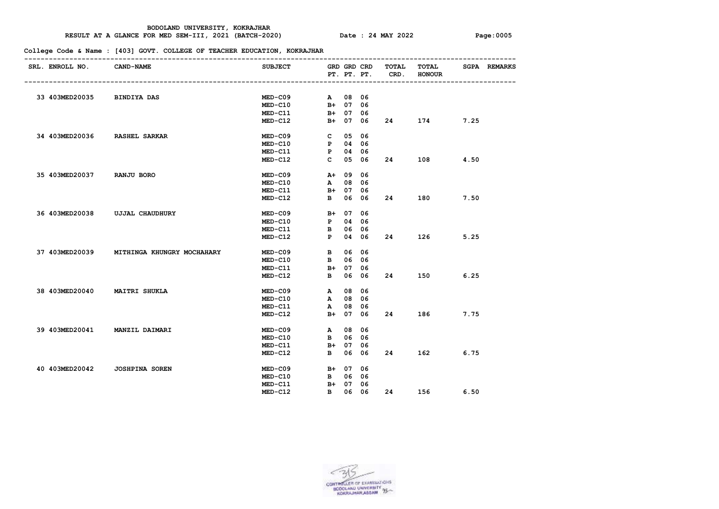#### **RESULT AT A GLANCE FOR MED SEM-III, 2021 (BATCH-2020) Date : 24 MAY 2022 Page:0005**

| SRL. ENROLL NO. CAND-NAME    |                                           | SUBJECT GRD GRD CRD TOTAL |          |         |          | PT. PT. PT. CRD. | <b>TOTAL</b><br><b>HONOUR</b> |      | <b>SGPA REMARKS</b> |
|------------------------------|-------------------------------------------|---------------------------|----------|---------|----------|------------------|-------------------------------|------|---------------------|
|                              |                                           |                           |          |         |          |                  |                               |      |                     |
| 33 403MED20035 BINDIYA DAS   |                                           | $MED-C09$                 | A 08 06  |         |          |                  |                               |      |                     |
|                              |                                           | $MED-C10$                 | B+ 07 06 |         |          |                  |                               |      |                     |
|                              |                                           | MED-C11                   | B+ 07 06 |         |          |                  |                               |      |                     |
|                              |                                           | $MED-C12$                 |          |         | B+ 07 06 | 24 —             | 174                           | 7.25 |                     |
| 34 403MED20036 RASHEL SARKAR |                                           | MED-C09 C 05 06           |          |         |          |                  |                               |      |                     |
|                              |                                           | MED-C10 P 04 06           |          |         |          |                  |                               |      |                     |
|                              |                                           | MED-C11 P 04 06           |          |         |          |                  |                               |      |                     |
|                              |                                           | $MED-C12$                 | C 05 06  |         |          |                  | 108 4.50                      |      |                     |
| 35 403MED20037 RANJU BORO    |                                           | $MED-C09$                 | A+ 09 06 |         |          |                  |                               |      |                     |
|                              |                                           | $MED- C10$                |          | A 08 06 |          |                  |                               |      |                     |
|                              |                                           | $MED-C11$                 | B+ 07 06 |         |          |                  |                               |      |                     |
|                              |                                           | $MED-C12$                 |          |         | B 06 06  |                  | 24 180 7.50                   |      |                     |
|                              | 36 403MED20038 UJJAL CHAUDHURY            | $MED-C09$                 | B+ 07 06 |         |          |                  |                               |      |                     |
|                              |                                           | MED-C10 P 04 06           |          |         |          |                  |                               |      |                     |
|                              |                                           | <b>MED-C11</b>            | B 06 06  |         |          |                  |                               |      |                     |
|                              |                                           | $MED-C12$                 | P 04 06  |         |          |                  | 126 7                         | 5.25 |                     |
|                              | 37 403MED20039 MITHINGA KHUNGRY MOCHAHARY | MED-C09 B 06 06           |          |         |          |                  |                               |      |                     |
|                              |                                           | <b>MED-C10</b>            | B 06 06  |         |          |                  |                               |      |                     |
|                              |                                           | $MED-C11$                 | B+ 07 06 |         |          |                  |                               |      |                     |
|                              |                                           | $MED-C12$                 |          |         | B 06 06  |                  | 150 7                         | 6.25 |                     |
| 38 403MED20040 MAITRI SHUKLA |                                           | MED-C09 A 08 06           |          |         |          |                  |                               |      |                     |
|                              |                                           | $MED- C10$                | A 08 06  |         |          |                  |                               |      |                     |
|                              |                                           | $MED-C11$                 |          | A 08 06 |          |                  |                               |      |                     |
|                              |                                           | $MED-C12$                 | B+ 07 06 |         |          |                  | 186 — 186                     | 7.75 |                     |
|                              | 39 403MED20041 MANZIL DAIMARI             | MED-C09 A 08 06           |          |         |          |                  |                               |      |                     |
|                              |                                           | $MED- C10$                | B 06 06  |         |          |                  |                               |      |                     |
|                              |                                           | $MED-C11$                 | B+ 07 06 |         |          |                  |                               |      |                     |
|                              |                                           | MED-C12                   |          |         | B 06 06  | 24 7             |                               | 6.75 |                     |
|                              | 40 403MED20042 JOSHPINA SOREN             | $MED-C09$                 | B+ 07 06 |         |          |                  |                               |      |                     |
|                              |                                           | $MED-C10$                 | B 06 06  |         |          |                  |                               |      |                     |
|                              |                                           | $MED- C11$                | B+ 07 06 |         |          |                  |                               |      |                     |
|                              |                                           | $MED - C12$               |          |         |          |                  | B 06 06 24 156                | 6.50 |                     |
|                              |                                           |                           |          |         |          |                  |                               |      |                     |